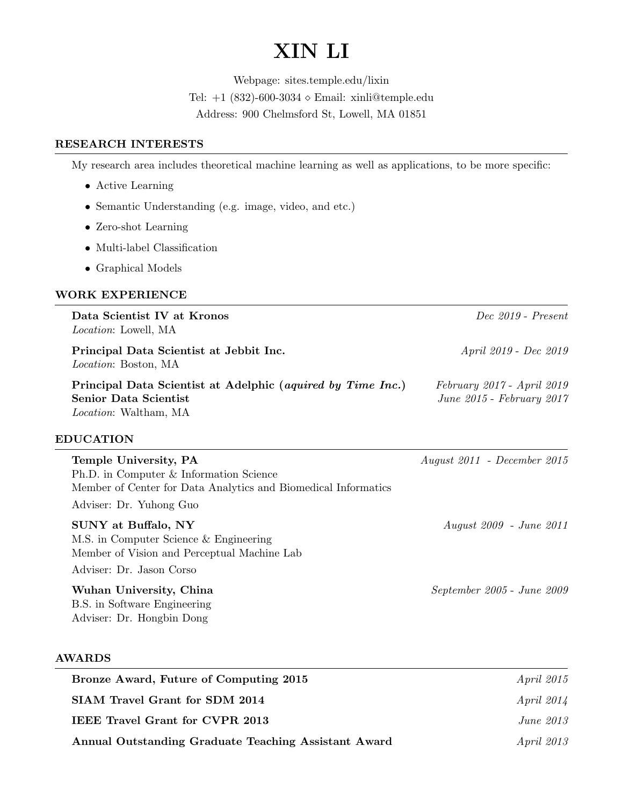# XIN LI

Webpage: sites.temple.edu/lixin Tel:  $+1$  (832)-600-3034  $\diamond$  Email: xinli@temple.edu

Address: 900 Chelmsford St, Lowell, MA 01851

## RESEARCH INTERESTS

My research area includes theoretical machine learning as well as applications, to be more specific:

- Active Learning
- Semantic Understanding (e.g. image, video, and etc.)
- Zero-shot Learning
- Multi-label Classification
- Graphical Models

## WORK EXPERIENCE

| Data Scientist IV at Kronos<br><i>Location</i> : Lowell, MA                                                                  | Dec 2019 - Present                                      |
|------------------------------------------------------------------------------------------------------------------------------|---------------------------------------------------------|
| Principal Data Scientist at Jebbit Inc.<br><i>Location:</i> Boston, MA                                                       | <i>April 2019 - Dec 2019</i>                            |
| Principal Data Scientist at Adelphic (aquired by Time Inc.)<br><b>Senior Data Scientist</b><br><i>Location</i> : Waltham, MA | February 2017 - April 2019<br>June 2015 - February 2017 |

## EDUCATION

| Temple University, PA<br>Ph.D. in Computer & Information Science                                                    | August 2011 - December 2015    |
|---------------------------------------------------------------------------------------------------------------------|--------------------------------|
| Member of Center for Data Analytics and Biomedical Informatics                                                      |                                |
| Adviser: Dr. Yuhong Guo                                                                                             |                                |
| <b>SUNY</b> at Buffalo, NY<br>M.S. in Computer Science & Engineering<br>Member of Vision and Perceptual Machine Lab | <i>August 2009 - June 2011</i> |
| Adviser: Dr. Jason Corso                                                                                            |                                |
| Wuhan University, China<br>B.S. in Software Engineering<br>Adviser: Dr. Hongbin Dong                                | September 2005 - June 2009     |

#### AWARDS

| Bronze Award, Future of Computing 2015               | <i>April 2015</i> |
|------------------------------------------------------|-------------------|
| SIAM Travel Grant for SDM 2014                       | <i>April 2014</i> |
| <b>IEEE Travel Grant for CVPR 2013</b>               | June 2013         |
| Annual Outstanding Graduate Teaching Assistant Award | <i>April 2013</i> |